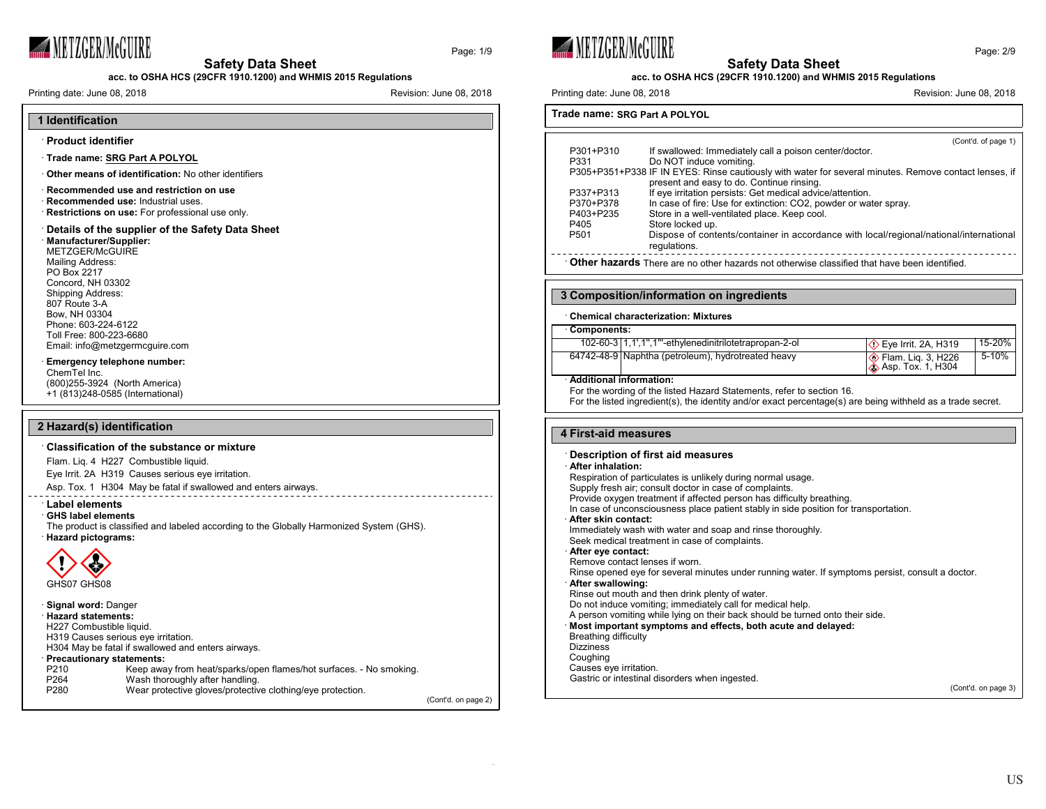

Page: 1/9

#### **acc. to OSHA HCS (29CFR 1910.1200) and WHMIS 2015 Regulations**

Printing date: June 08, 2018 **Revision: 1999** Revision: June 08, 2018



# · **Precautionary statements:**

| P210             | Keep away from heat/sparks/open flames/hot surfaces. - No smoking. |  |
|------------------|--------------------------------------------------------------------|--|
| P <sub>264</sub> | Wash thoroughly after handling.                                    |  |
| P <sub>280</sub> | Wear protective gloves/protective clothing/eye protection.         |  |
|                  |                                                                    |  |

(Cont'd. on page 2)





#### **acc. to OSHA HCS (29CFR 1910.1200) and WHMIS 2015 Regulations**

Printing date: June 08, 2018 **Revision: 1999** Revision: June 08, 2018

**Trade name: SRG Part A POLYOL**

| P301+P310<br>P331<br>P337+P313<br>P370+P378<br>P403+P235                                            | (Cont'd. of page 1)<br>If swallowed: Immediately call a poison center/doctor.<br>Do NOT induce vomiting.<br>P305+P351+P338 IF IN EYES: Rinse cautiously with water for several minutes. Remove contact lenses, if<br>present and easy to do. Continue rinsing.<br>If eye irritation persists: Get medical advice/attention.<br>In case of fire: Use for extinction: CO2, powder or water spray.<br>Store in a well-ventilated place. Keep cool. |  |
|-----------------------------------------------------------------------------------------------------|-------------------------------------------------------------------------------------------------------------------------------------------------------------------------------------------------------------------------------------------------------------------------------------------------------------------------------------------------------------------------------------------------------------------------------------------------|--|
| P405<br>P <sub>501</sub>                                                                            | Store locked up.<br>Dispose of contents/container in accordance with local/regional/national/international<br>regulations.                                                                                                                                                                                                                                                                                                                      |  |
| <b>Other hazards</b> There are no other hazards not otherwise classified that have been identified. |                                                                                                                                                                                                                                                                                                                                                                                                                                                 |  |

# **3 Composition/information on ingredients**

# · **Chemical characterization: Mixtures**

| · Components: |                                                             |                                                 |           |
|---------------|-------------------------------------------------------------|-------------------------------------------------|-----------|
|               | 102-60-3   1, 1', 1", 1"'-ethylenedinitrilotetrapropan-2-ol | $\Diamond$ Eye Irrit. 2A, H319                  | 15-20%    |
|               | 64742-48-9 Naphtha (petroleum), hydrotreated heavy          | Elam. Liq. 3, H226<br><b> Asp. Tox. 1, H304</b> | $5 - 10%$ |
|               | . Additional information:                                   |                                                 |           |

#### · **Additional information:**

For the wording of the listed Hazard Statements, refer to section 16. For the listed ingredient(s), the identity and/or exact percentage(s) are being withheld as a trade secret.

#### **4 First-aid measures**

| <b>Description of first aid measures</b>                                                         |  |
|--------------------------------------------------------------------------------------------------|--|
| After inhalation:                                                                                |  |
| Respiration of particulates is unlikely during normal usage.                                     |  |
| Supply fresh air; consult doctor in case of complaints.                                          |  |
| Provide oxygen treatment if affected person has difficulty breathing.                            |  |
| In case of unconsciousness place patient stably in side position for transportation.             |  |
| After skin contact:                                                                              |  |
| Immediately wash with water and soap and rinse thoroughly.                                       |  |
| Seek medical treatment in case of complaints.                                                    |  |
| After eye contact:                                                                               |  |
| Remove contact lenses if worn                                                                    |  |
| Rinse opened eve for several minutes under running water. If symptoms persist, consult a doctor. |  |
| After swallowing:                                                                                |  |
| Rinse out mouth and then drink plenty of water.                                                  |  |
| Do not induce vomiting; immediately call for medical help.                                       |  |
| A person vomiting while lying on their back should be turned onto their side.                    |  |
| Most important symptoms and effects, both acute and delayed:                                     |  |
| Breathing difficulty                                                                             |  |
| <b>Dizziness</b>                                                                                 |  |
|                                                                                                  |  |
| Coughing                                                                                         |  |
| Causes eye irritation.                                                                           |  |
| Gastric or intestinal disorders when ingested.                                                   |  |
| (Cont'd. on page 3)                                                                              |  |

Page: 2/9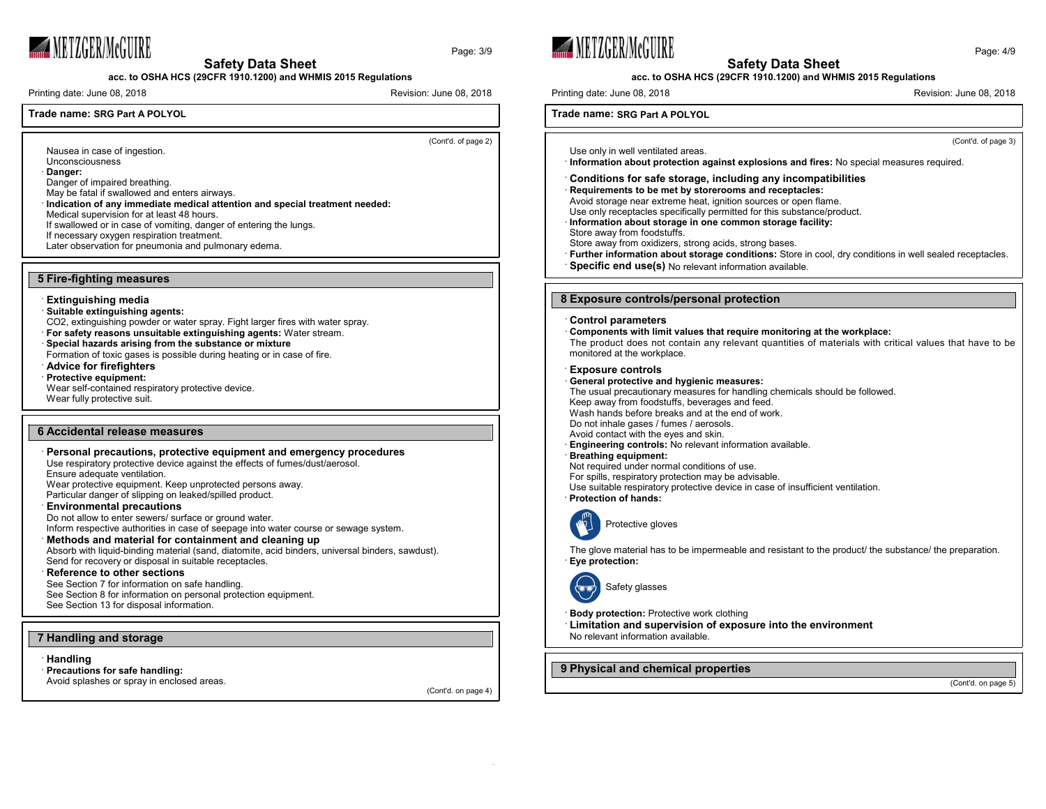

Page: 3/9



# **acc. to OSHA HCS (29CFR 1910.1200) and WHMIS 2015 Regulations**

Printing date: June 08, 2018 Revision: June 08, 2018

# **Trade name: SRG Part A POLYOL**

(Cont'd. of page 2)

Nausea in case of ingestion. Unconsciousness

· **Danger:**

Danger of impaired breathing.

May be fatal if swallowed and enters airways.

· **Indication of any immediate medical attention and special treatment needed:**

Medical supervision for at least 48 hours.

If swallowed or in case of vomiting, danger of entering the lungs.

If necessary oxygen respiration treatment.

Later observation for pneumonia and pulmonary edema.

#### **5 Fire-fighting measures**

#### · **Extinguishing media**

· **Suitable extinguishing agents:**

CO2, extinguishing powder or water spray. Fight larger fires with water spray.

· **For safety reasons unsuitable extinguishing agents:** Water stream.

# · **Special hazards arising from the substance or mixture**

Formation of toxic gases is possible during heating or in case of fire.

· **Advice for firefighters**

# · **Protective equipment:**

Wear self-contained respiratory protective device. Wear fully protective suit.

### **6 Accidental release measures**

# · **Personal precautions, protective equipment and emergency procedures** Use respiratory protective device against the effects of fumes/dust/aerosol.

Ensure adequate ventilation.

Wear protective equipment. Keep unprotected persons away. Particular danger of slipping on leaked/spilled product.

· **Environmental precautions**

Do not allow to enter sewers/ surface or ground water.

Inform respective authorities in case of seepage into water course or sewage system.

# · **Methods and material for containment and cleaning up**

Absorb with liquid-binding material (sand, diatomite, acid binders, universal binders, sawdust). Send for recovery or disposal in suitable receptacles.

### · **Reference to other sections**

See Section 7 for information on safe handling. See Section 8 for information on personal protection equipment. See Section 13 for disposal information.

## **7 Handling and storage**

· **Handling**

· **Precautions for safe handling:** Avoid splashes or spray in enclosed areas.

(Cont'd. on page 4)





#### **acc. to OSHA HCS (29CFR 1910.1200) and WHMIS 2015 Regulations**

Printing date: June 08, 2018 **Revision: 1999** Revision: June 08, 2018

**Trade name: SRG Part A POLYOL**

(Cont'd. of page 3)

Use only in well ventilated areas. · **Information about protection against explosions and fires:** No special measures required.

#### · **Conditions for safe storage, including any incompatibilities**

- · **Requirements to be met by storerooms and receptacles:**
- Avoid storage near extreme heat, ignition sources or open flame.

Use only receptacles specifically permitted for this substance/product.

· **Information about storage in one common storage facility:**

Store away from foodstuffs.

Store away from oxidizers, strong acids, strong bases.

- · **Further information about storage conditions:** Store in cool, dry conditions in well sealed receptacles.
- · **Specific end use(s)** No relevant information available.

## **8 Exposure controls/personal protection**

#### · **Control parameters**

· **Components with limit values that require monitoring at the workplace:**

The product does not contain any relevant quantities of materials with critical values that have to be monitored at the workplace.

#### · **Exposure controls**

#### · **General protective and hygienic measures:**

The usual precautionary measures for handling chemicals should be followed.

Keep away from foodstuffs, beverages and feed.

Wash hands before breaks and at the end of work.

Do not inhale gases / fumes / aerosols.

Avoid contact with the eyes and skin.

· **Engineering controls:** No relevant information available.

### · **Breathing equipment:**

Not required under normal conditions of use.

For spills, respiratory protection may be advisable.

Use suitable respiratory protective device in case of insufficient ventilation.

· **Protection of hands:**



The glove material has to be impermeable and resistant to the product/ the substance/ the preparation.



# Safety glasses

**Body protection:** Protective work clothing

· **Limitation and supervision of exposure into the environment** No relevant information available.

# **9 Physical and chemical properties**

(Cont'd. on page 5)

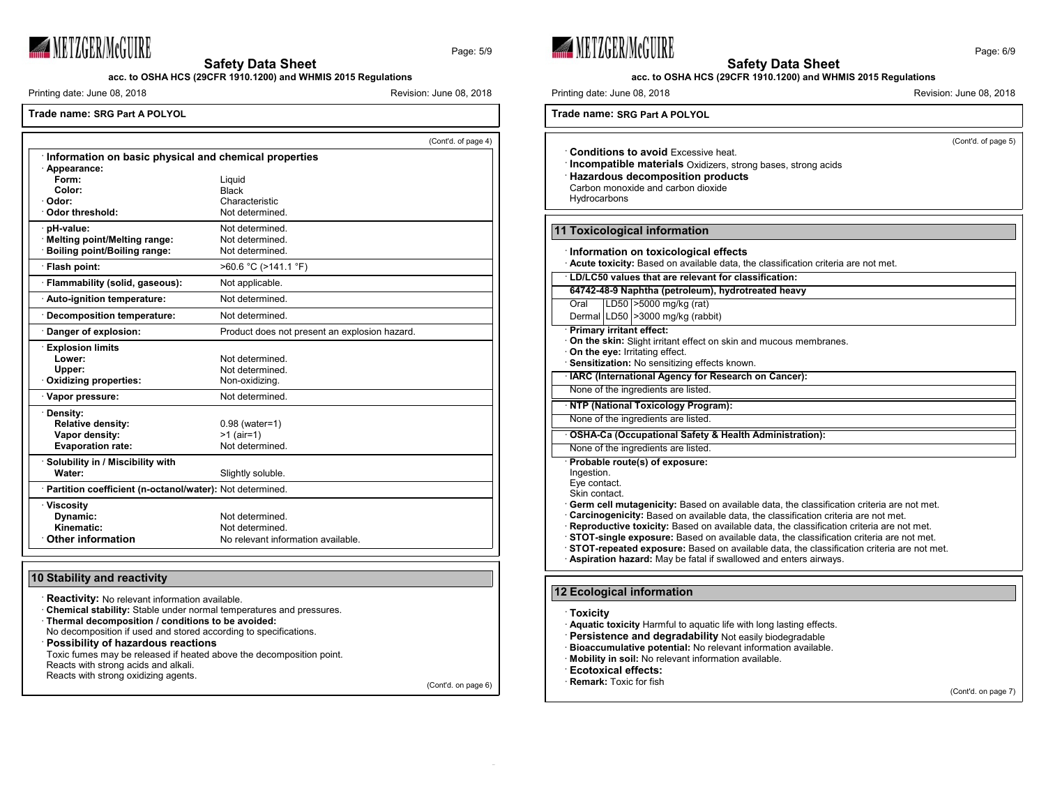

Page: 5/9

**acc. to OSHA HCS (29CFR 1910.1200) and WHMIS 2015 Regulations**

Printing date: June 08, 2018 **Revision: June 08, 2018** Revision: June 08, 2018

### **Trade name: SRG Part A POLYOL**

|                                                       |                                                            | (Cont'd. of page 4) |  |
|-------------------------------------------------------|------------------------------------------------------------|---------------------|--|
| Information on basic physical and chemical properties |                                                            |                     |  |
| · Appearance:                                         |                                                            |                     |  |
| Form:<br>Color:                                       | Liquid                                                     |                     |  |
| · Odor:                                               | <b>Black</b><br>Characteristic                             |                     |  |
| Odor threshold:                                       | Not determined.                                            |                     |  |
| · pH-value:                                           | Not determined                                             |                     |  |
| · Melting point/Melting range:                        | Not determined.                                            |                     |  |
| Boiling point/Boiling range:                          | Not determined.                                            |                     |  |
| · Flash point:                                        | $>60.6$ °C ( $>141.1$ °F)                                  |                     |  |
| · Flammability (solid, gaseous):                      | Not applicable.                                            |                     |  |
| Auto-ignition temperature:                            | Not determined                                             |                     |  |
| Decomposition temperature:                            | Not determined.                                            |                     |  |
| Danger of explosion:                                  | Product does not present an explosion hazard.              |                     |  |
| <b>Explosion limits</b>                               |                                                            |                     |  |
| Lower:                                                | Not determined                                             |                     |  |
| Upper:                                                | Not determined.                                            |                     |  |
| Oxidizing properties:                                 | Non-oxidizing.                                             |                     |  |
| · Vapor pressure:                                     | Not determined.                                            |                     |  |
| · Density:                                            |                                                            |                     |  |
| <b>Relative density:</b>                              | $0.98$ (water=1)                                           |                     |  |
| Vapor density:<br><b>Evaporation rate:</b>            | $>1$ (air=1)<br>Not determined.                            |                     |  |
|                                                       |                                                            |                     |  |
| · Solubility in / Miscibility with<br>Water:          | Slightly soluble.                                          |                     |  |
|                                                       |                                                            |                     |  |
|                                                       | · Partition coefficient (n-octanol/water): Not determined. |                     |  |
| · Viscosity                                           |                                                            |                     |  |
| Dynamic:                                              | Not determined.                                            |                     |  |
| Kinematic:<br><b>Other information</b>                | Not determined.                                            |                     |  |
|                                                       | No relevant information available.                         |                     |  |

# **10 Stability and reactivity**

**Reactivity:** No relevant information available. · **Chemical stability:** Stable under normal temperatures and pressures. · **Thermal decomposition / conditions to be avoided:** No decomposition if used and stored according to specifications. · **Possibility of hazardous reactions** Toxic fumes may be released if heated above the decomposition point. Reacts with strong acids and alkali. Reacts with strong oxidizing agents.

(Cont'd. on page 6)





Eve contact.

Skin contact.

· **Germ cell mutagenicity:** Based on available data, the classification criteria are not met.

· **Carcinogenicity:** Based on available data, the classification criteria are not met.

· **Reproductive toxicity:** Based on available data, the classification criteria are not met.

· **STOT-single exposure:** Based on available data, the classification criteria are not met.

· **STOT-repeated exposure:** Based on available data, the classification criteria are not met.

· **Aspiration hazard:** May be fatal if swallowed and enters airways.

# **12 Ecological information**

## · **Toxicity**

· **Aquatic toxicity** Harmful to aquatic life with long lasting effects.

- · **Persistence and degradability** Not easily biodegradable
- · **Bioaccumulative potential:** No relevant information available.
- · **Mobility in soil:** No relevant information available.
- · **Ecotoxical effects:**
- **Remark:** Toxic for fish

(Cont'd. on page 7)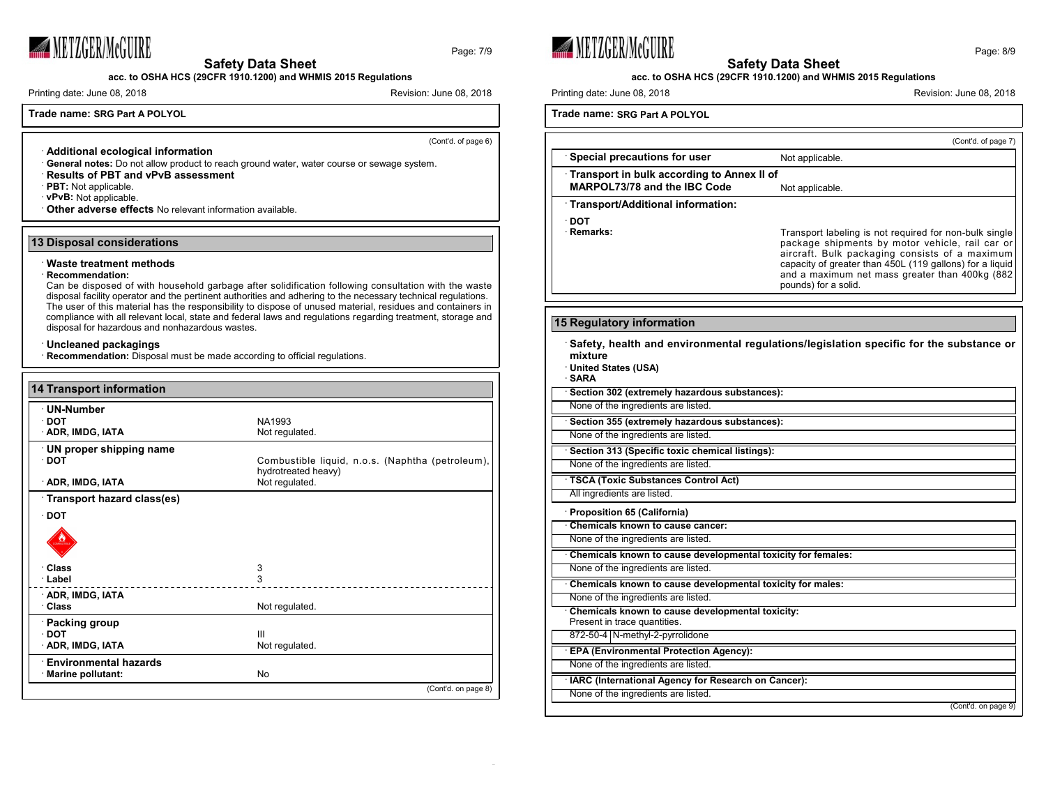

**acc. to OSHA HCS (29CFR 1910.1200) and WHMIS 2015 Regulations**

Printing date: June 08, 2018 **Revision: June 08, 2018** Revision: June 08, 2018

**Trade name: SRG Part A POLYOL**

(Cont'd. of page 6)

Page: 7/9

· **Additional ecological information**

- · **General notes:** Do not allow product to reach ground water, water course or sewage system.
- · **Results of PBT and vPvB assessment**
- · **PBT:** Not applicable.
- · **vPvB:** Not applicable.
- · **Other adverse effects** No relevant information available.

# **13 Disposal considerations**

#### · **Waste treatment methods**

#### · **Recommendation:**

Can be disposed of with household garbage after solidification following consultation with the waste disposal facility operator and the pertinent authorities and adhering to the necessary technical regulations. The user of this material has the responsibility to dispose of unused material, residues and containers in compliance with all relevant local, state and federal laws and regulations regarding treatment, storage and disposal for hazardous and nonhazardous wastes.

# · **Uncleaned packagings**

· **Recommendation:** Disposal must be made according to official regulations.

| 14 Transport information     |                                                  |
|------------------------------|--------------------------------------------------|
| · UN-Number                  |                                                  |
| $\cdot$ DOT                  | NA1993                                           |
| <b>ADR, IMDG, IATA</b>       | Not regulated.                                   |
| · UN proper shipping name    |                                                  |
| $\cdot$ DOT                  | Combustible liquid, n.o.s. (Naphtha (petroleum), |
|                              | hydrotreated heavy)                              |
| <b>ADR, IMDG, IATA</b>       | Not regulated.                                   |
| Transport hazard class(es)   |                                                  |
| $\cdot$ DOT                  |                                                  |
|                              |                                                  |
| · Class                      | 3                                                |
| · Label                      | 3                                                |
| <b>ADR, IMDG, IATA</b>       |                                                  |
| · Class                      | Not regulated.                                   |
| · Packing group              |                                                  |
| $\cdot$ DOT                  | $\mathbf{III}$                                   |
| <b>ADR, IMDG, IATA</b>       | Not regulated.                                   |
| <b>Environmental hazards</b> |                                                  |
| · Marine pollutant:          | No                                               |
|                              | (Cont'd. on page 8)                              |



· **DOT**

**mixture**

· **SARA**





# **acc. to OSHA HCS (29CFR 1910.1200) and WHMIS 2015 Regulations**

Printing date: June 08, 2018 **Revision: 1999** Revision: June 08, 2018

**Trade name: SRG Part A POLYOL**

(Cont'd. of page 7) **Special precautions for user** Not applicable. · **Transport in bulk according to Annex II of MARPOL73/78** and the IBC Code Not applicable. · **Transport/Additional information: Remarks:** Transport labeling is not required for non-bulk single package shipments by motor vehicle, rail car or aircraft. Bulk packaging consists of a maximum capacity of greater than 450L (119 gallons) for a liquid and a maximum net mass greater than 400kg (882 pounds) for a solid. **15 Regulatory information** · **Safety, health and environmental regulations/legislation specific for the substance or** · **United States (USA)** · **Section 302 (extremely hazardous substances):** None of the ingredients are listed. · **Section 355 (extremely hazardous substances):** None of the ingredients are listed. · **Section 313 (Specific toxic chemical listings):** None of the ingredients are listed. · **TSCA (Toxic Substances Control Act)** All ingredients are listed. · **Proposition 65 (California)** · **Chemicals known to cause cancer:** None of the ingredients are listed.

· **Chemicals known to cause developmental toxicity for females:** None of the ingredients are listed.

· **Chemicals known to cause developmental toxicity for males:** None of the ingredients are listed. · **Chemicals known to cause developmental toxicity:**

Present in trace quantities. 872-50-4 N-methyl-2-pyrrolidone · **EPA (Environmental Protection Agency):** None of the ingredients are listed.

· **IARC (International Agency for Research on Cancer):**

None of the ingredients are listed.

(Cont'd. on page 9)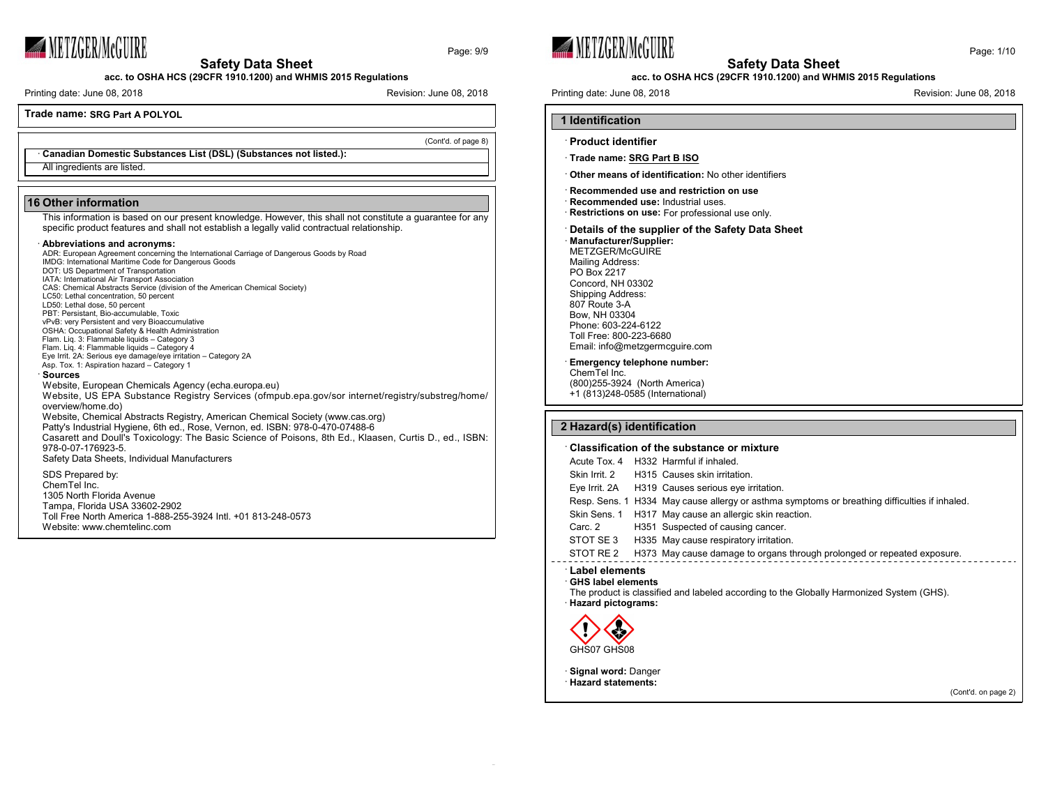

**acc. to OSHA HCS (29CFR 1910.1200) and WHMIS 2015 Regulations**

Printing date: June 08, 2018 **Revision: June 08, 2018** Revision: June 08, 2018

**Trade name: SRG Part A POLYOL**

(Cont'd. of page 8)

Page: 9/9

· **Canadian Domestic Substances List (DSL) (Substances not listed.):** All ingredients are listed.

### **16 Other information**

This information is based on our present knowledge. However, this shall not constitute a guarantee for any specific product features and shall not establish a legally valid contractual relationship.

### · **Abbreviations and acronyms:**

| , www.c.uc.on.com.c.uc.on/                                                                             |
|--------------------------------------------------------------------------------------------------------|
| ADR: European Agreement concerning the International Carriage of Dangerous Goods by Road               |
| IMDG: International Maritime Code for Dangerous Goods                                                  |
| DOT: US Department of Transportation                                                                   |
| IATA: International Air Transport Association                                                          |
| CAS: Chemical Abstracts Service (division of the American Chemical Society)                            |
| LC50: Lethal concentration, 50 percent                                                                 |
| LD50: Lethal dose, 50 percent                                                                          |
| PBT: Persistant, Bio-accumulable, Toxic                                                                |
| vPvB: very Persistent and very Bioaccumulative                                                         |
| OSHA: Occupational Safety & Health Administration                                                      |
| Flam. Lig. 3: Flammable liguids - Category 3                                                           |
| Flam. Lig. 4: Flammable liguids - Category 4                                                           |
| Eye Irrit. 2A: Serious eye damage/eye irritation - Category 2A                                         |
| Asp. Tox. 1: Aspiration hazard - Category 1                                                            |
| · Sources                                                                                              |
| Website, European Chemicals Agency (echa.europa.eu)                                                    |
| Website, US EPA Substance Registry Services (ofmpub.epa.gov/sor internet/registry/substreg/home/       |
| overview/home.do)                                                                                      |
| Website, Chemical Abstracts Registry, American Chemical Society (www.cas.org)                          |
|                                                                                                        |
| Patty's Industrial Hygiene, 6th ed., Rose, Vernon, ed. ISBN: 978-0-470-07488-6                         |
| Casarett and Doull's Toxicology: The Basic Science of Poisons, 8th Ed., Klaasen, Curtis D., ed., ISBN: |
| 978-0-07-176923-5.                                                                                     |
| Safety Data Sheets, Individual Manufacturers                                                           |
|                                                                                                        |
| SDS Prepared by:                                                                                       |
| ChemTel Inc.                                                                                           |
| 1305 North Florida Avenue                                                                              |
|                                                                                                        |
| Tampa, Florida USA 33602-2902                                                                          |
| Toll Free North America 1-888-255-3924 Intl. +01 813-248-0573                                          |
| Website: www.chemtelinc.com                                                                            |
|                                                                                                        |

**WETZGER/McGUIRE** 



#### **acc. to OSHA HCS (29CFR 1910.1200) and WHMIS 2015 Regulations**

Printing date: June 08, 2018 **Revision: 1999** Revision: June 08, 2018

# · **Product identifier**

**1 Identification**

· **Trade name: SRG Part B ISO**

· **Other means of identification:** No other identifiers

# · **Recommended use and restriction on use**

- · **Recommended use:** Industrial uses.
- · **Restrictions on use:** For professional use only.

## · **Details of the supplier of the Safety Data Sheet**

· **Manufacturer/Supplier:** METZGER/McGUIRE Mailing Address: PO Box 2217 Concord, NH 03302 Shipping Address: 807 Route 3-A Bow, NH 03304 Phone: 603-224-6122 Toll Free: 800-223-6680 Email: info@metzgermcguire.com

# · **Emergency telephone number:**

ChemTel Inc. (800)255-3924 (North America) +1 (813)248-0585 (International)

## **2 Hazard(s) identification**

#### · **Classification of the substance or mixture**

Acute Tox. 4 H332 Harmful if inhaled. Skin Irrit. 2 H315 Causes skin irritation.

- Eye Irrit. 2A H319 Causes serious eye irritation.
- Resp. Sens. 1 H334 May cause allergy or asthma symptoms or breathing difficulties if inhaled.
- Skin Sens. 1 H317 May cause an allergic skin reaction.
- Carc. 2 H351 Suspected of causing cancer.
- STOT SE 3 H335 May cause respiratory irritation.
- STOT RE 2 H373 May cause damage to organs through prolonged or repeated exposure.

# · **Label elements**

- · **GHS label elements**
- The product is classified and labeled according to the Globally Harmonized System (GHS). · **Hazard pictograms:**



· **Signal word:** Danger

· **Hazard statements:**

(Cont'd. on page 2)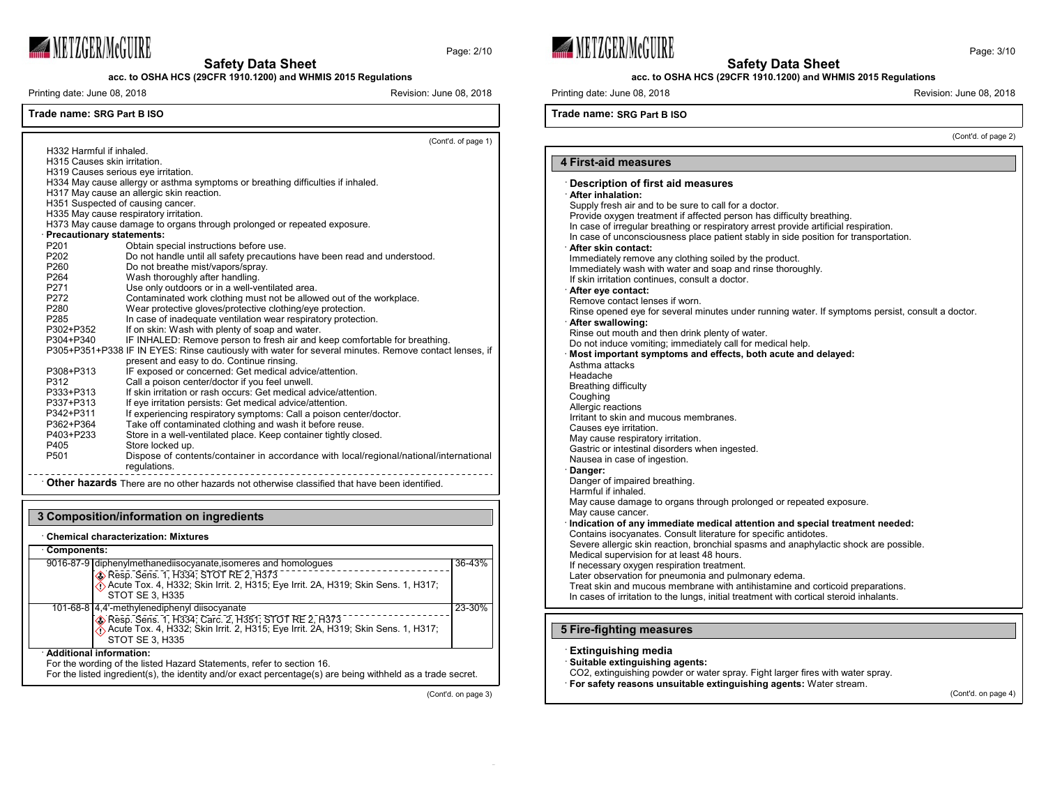

**acc. to OSHA HCS (29CFR 1910.1200) and WHMIS 2015 Regulations**

Printing date: June 08, 2018 **Revision: 1999** Revision: June 08, 2018

Page: 2/10

(Cont'd. of page 1)

# **Trade name: SRG Part B ISO**

| H332 Harmful if inhaled.            | (COIILU. OI paye 1)                                                                                   |
|-------------------------------------|-------------------------------------------------------------------------------------------------------|
| H315 Causes skin irritation.        |                                                                                                       |
| H319 Causes serious eye irritation. |                                                                                                       |
|                                     | H334 May cause allergy or asthma symptoms or breathing difficulties if inhaled.                       |
|                                     | H317 May cause an allergic skin reaction.                                                             |
| H351 Suspected of causing cancer.   |                                                                                                       |
|                                     | H335 May cause respiratory irritation.                                                                |
|                                     | H373 May cause damage to organs through prolonged or repeated exposure.                               |
| Precautionary statements:           |                                                                                                       |
| P <sub>201</sub>                    | Obtain special instructions before use.                                                               |
| P202                                | Do not handle until all safety precautions have been read and understood.                             |
| P260                                | Do not breathe mist/vapors/spray.                                                                     |
| P264                                | Wash thoroughly after handling.                                                                       |
| P271                                | Use only outdoors or in a well-ventilated area.                                                       |
| P272                                | Contaminated work clothing must not be allowed out of the workplace.                                  |
| P280                                | Wear protective gloves/protective clothing/eye protection.                                            |
| P <sub>285</sub>                    | In case of inadequate ventilation wear respiratory protection.                                        |
| P302+P352                           | If on skin: Wash with plenty of soap and water.                                                       |
| P304+P340                           |                                                                                                       |
|                                     | IF INHALED: Remove person to fresh air and keep comfortable for breathing.                            |
|                                     | P305+P351+P338 IF IN EYES: Rinse cautiously with water for several minutes. Remove contact lenses, if |
|                                     | present and easy to do. Continue rinsing.                                                             |
| P308+P313                           | IF exposed or concerned: Get medical advice/attention.                                                |
| P312                                | Call a poison center/doctor if you feel unwell.                                                       |
| P333+P313                           | If skin irritation or rash occurs: Get medical advice/attention.                                      |
| P337+P313                           | If eye irritation persists: Get medical advice/attention.                                             |
| P342+P311                           | If experiencing respiratory symptoms: Call a poison center/doctor.                                    |
| P362+P364                           | Take off contaminated clothing and wash it before reuse.                                              |
| P403+P233                           | Store in a well-ventilated place. Keep container tightly closed.                                      |
| P405                                | Store locked up.                                                                                      |
| P501                                | Dispose of contents/container in accordance with local/regional/national/international                |
|                                     | regulations.                                                                                          |
|                                     |                                                                                                       |

· **Other hazards** There are no other hazards not otherwise classified that have been identified.

#### **3 Composition/information on ingredients** · **Chemical characterization: Mixtures** · **Components:** 9016-87-9 diphenylmethanediisocyanate,isomeres and homologues Resp. Sens. 1, H334; STOT RE 2, H373 Acute Tox. 4, H332; Skin Irrit. 2, H315; Eye Irrit. 2A, H319; Skin Sens. 1, H317; STOT SE 3, H335 36-43% 101-68-8 4,4'-methylenediphenyl diisocyanate Resp. Sens. 1, H334; Carc. 2, H351; STOT RE 2, H373  $\langle \cdot \rangle$  Acute Tox. 4, H332; Skin Irrit. 2, H315; Eye Irrit. 2A, H319; Skin Sens. 1, H317; STOT SE 3, H335 23-30% · **Additional information:** For the wording of the listed Hazard Statements, refer to section 16. For the listed ingredient(s), the identity and/or exact percentage(s) are being withheld as a trade secret.

(Cont'd. on page 3)





**acc. to OSHA HCS (29CFR 1910.1200) and WHMIS 2015 Regulations**

Printing date: June 08, 2018 **Revision: 1999** Revision: June 08, 2018

**Trade name: SRG Part B ISO**

(Cont'd. of page 2)

#### **4 First-aid measures** · **Description of first aid measures** · **After inhalation:** Supply fresh air and to be sure to call for a doctor. Provide oxygen treatment if affected person has difficulty breathing. In case of irregular breathing or respiratory arrest provide artificial respiration. In case of unconsciousness place patient stably in side position for transportation. · **After skin contact:** Immediately remove any clothing soiled by the product. Immediately wash with water and soap and rinse thoroughly. If skin irritation continues, consult a doctor. · **After eye contact:** Remove contact lenses if worn. Rinse opened eye for several minutes under running water. If symptoms persist, consult a doctor. · **After swallowing:** Rinse out mouth and then drink plenty of water. Do not induce vomiting; immediately call for medical help. · **Most important symptoms and effects, both acute and delayed:** Asthma attacks Headache Breathing difficulty Coughing Allergic reactions Irritant to skin and mucous membranes. Causes eye irritation. May cause respiratory irritation. Gastric or intestinal disorders when ingested. Nausea in case of ingestion. · **Danger:** Danger of impaired breathing. Harmful if inhaled. May cause damage to organs through prolonged or repeated exposure. May cause cancer. · **Indication of any immediate medical attention and special treatment needed:** Contains isocyanates. Consult literature for specific antidotes. Severe allergic skin reaction, bronchial spasms and anaphylactic shock are possible. Medical supervision for at least 48 hours. If necessary oxygen respiration treatment. Later observation for pneumonia and pulmonary edema. Treat skin and mucous membrane with antihistamine and corticoid preparations. In cases of irritation to the lungs, initial treatment with cortical steroid inhalants.

# **5 Fire-fighting measures**

# · **Extinguishing media**

- · **Suitable extinguishing agents:**
- CO2, extinguishing powder or water spray. Fight larger fires with water spray.
- · **For safety reasons unsuitable extinguishing agents:** Water stream.

(Cont'd. on page 4)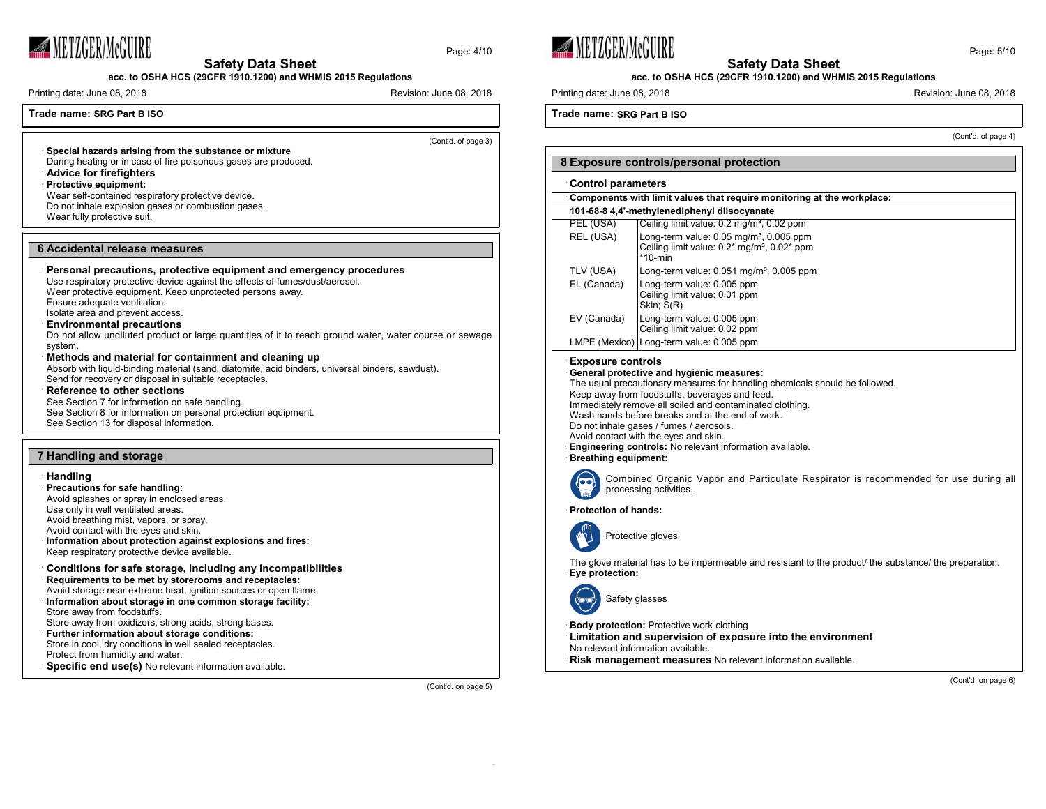

**acc. to OSHA HCS (29CFR 1910.1200) and WHMIS 2015 Regulations**

Printing date: June 08, 2018 Revision: June 08, 2018

# **Trade name: SRG Part B ISO**

(Cont'd. of page 3)

(Cont'd. on page 5)

Page: 4/10

· **Special hazards arising from the substance or mixture** During heating or in case of fire poisonous gases are produced. · **Advice for firefighters** · **Protective equipment:** Wear self-contained respiratory protective device. Do not inhale explosion gases or combustion gases. Wear fully protective suit.

# **6 Accidental release measures**

· **Personal precautions, protective equipment and emergency procedures** Use respiratory protective device against the effects of fumes/dust/aerosol.

Wear protective equipment. Keep unprotected persons away.

Ensure adequate ventilation. Isolate area and prevent access.

#### · **Environmental precautions**

Do not allow undiluted product or large quantities of it to reach ground water, water course or sewage system.

# · **Methods and material for containment and cleaning up**

Absorb with liquid-binding material (sand, diatomite, acid binders, universal binders, sawdust). Send for recovery or disposal in suitable receptacles.

#### · **Reference to other sections**

See Section 7 for information on safe handling. See Section 8 for information on personal protection equipment. See Section 13 for disposal information.

## **7 Handling and storage**

### · **Handling**

· **Precautions for safe handling:** Avoid splashes or spray in enclosed areas. Use only in well ventilated areas. Avoid breathing mist, vapors, or spray. Avoid contact with the eyes and skin. · **Information about protection against explosions and fires:** Keep respiratory protective device available. · **Conditions for safe storage, including any incompatibilities** · **Requirements to be met by storerooms and receptacles:** Avoid storage near extreme heat, ignition sources or open flame. · **Information about storage in one common storage facility:**

Store away from foodstuffs. Store away from oxidizers, strong acids, strong bases. · **Further information about storage conditions:** Store in cool, dry conditions in well sealed receptacles.

Protect from humidity and water. · **Specific end use(s)** No relevant information available.





**acc. to OSHA HCS (29CFR 1910.1200) and WHMIS 2015 Regulations**

Printing date: June 08, 2018 **Revision: 1999** Revision: June 08, 2018

**Trade name: SRG Part B ISO**

(Cont'd. of page 4)

# **8 Exposure controls/personal protection** · **Control parameters** · **Components with limit values that require monitoring at the workplace: 101-68-8 4,4'-methylenediphenyl diisocyanate** PEL (USA) Ceiling limit value: 0.2 mg/m<sup>3</sup>, 0.02 ppm REL (USA)  $\vert$  Long-term value: 0.05 mg/m<sup>3</sup>, 0.005 ppm Ceiling limit value: 0.2<sup>\*</sup> mg/m<sup>3</sup>, 0.02<sup>\*</sup> ppm \*10-min TLV (USA)  $\vert$  Long-term value: 0.051 mg/m<sup>3</sup>, 0.005 ppm EL (Canada) Long-term value: 0.005 ppm Ceiling limit value: 0.01 ppm Skin; S(R) EV (Canada) Long-term value: 0.005 ppm Ceiling limit value: 0.02 ppm LMPE (Mexico) Long-term value: 0.005 ppm

# · **Exposure controls**

· **General protective and hygienic measures:**

The usual precautionary measures for handling chemicals should be followed.

Keep away from foodstuffs, beverages and feed.

Immediately remove all soiled and contaminated clothing. Wash hands before breaks and at the end of work.

Do not inhale gases / fumes / aerosols. Avoid contact with the eyes and skin.

- · **Engineering controls:** No relevant information available.
- · **Breathing equipment:**



Combined Organic Vapor and Particulate Respirator is recommended for use during all processing activities.

· **Protection of hands:**



Protective gloves

The glove material has to be impermeable and resistant to the product/ the substance/ the preparation. · **Eye protection:**



Safety glasses

**Body protection:** Protective work clothing

· **Limitation and supervision of exposure into the environment**

No relevant information available.

· **Risk management measures** No relevant information available.

(Cont'd. on page 6)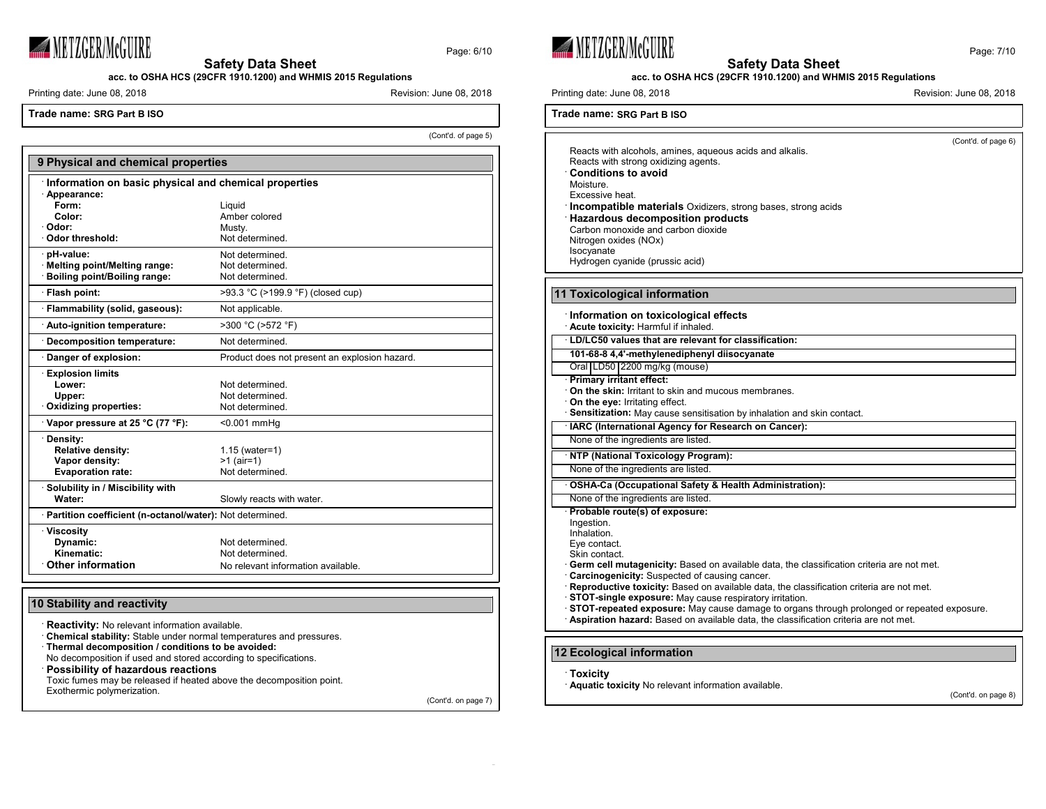

Page: 6/10

**acc. to OSHA HCS (29CFR 1910.1200) and WHMIS 2015 Regulations**

Printing date: June 08, 2018 **Revision: 1999** Revision: June 08, 2018

**Trade name: SRG Part B ISO**

(Cont'd. of page 5)

| 9 Physical and chemical properties                         |                                               |  |
|------------------------------------------------------------|-----------------------------------------------|--|
| Information on basic physical and chemical properties      |                                               |  |
| · Appearance:                                              |                                               |  |
| Form:                                                      | Liquid                                        |  |
| Color:                                                     | Amber colored                                 |  |
| ∙ Odor:                                                    | Musty.                                        |  |
| · Odor threshold:                                          | Not determined.                               |  |
| pH-value:                                                  | Not determined.                               |  |
| Melting point/Melting range:                               | Not determined.                               |  |
| · Boiling point/Boiling range:                             | Not determined.                               |  |
| · Flash point:                                             | >93.3 °C (>199.9 °F) (closed cup)             |  |
| · Flammability (solid, gaseous):                           | Not applicable.                               |  |
| · Auto-ignition temperature:                               | >300 °C (>572 °F)                             |  |
| · Decomposition temperature:                               | Not determined.                               |  |
| Danger of explosion:                                       | Product does not present an explosion hazard. |  |
| <b>Explosion limits</b>                                    |                                               |  |
| Lower:                                                     | Not determined.                               |  |
| Upper:                                                     | Not determined                                |  |
| Oxidizing properties:                                      | Not determined.                               |  |
| Vapor pressure at 25 °C (77 °F):                           | <0.001 mmHq                                   |  |
| · Density:                                                 |                                               |  |
| <b>Relative density:</b>                                   | $1.15$ (water=1)                              |  |
| Vapor density:                                             | $>1$ (air=1)                                  |  |
| <b>Evaporation rate:</b>                                   | Not determined.                               |  |
| · Solubility in / Miscibility with                         |                                               |  |
| Water:                                                     | Slowly reacts with water.                     |  |
| · Partition coefficient (n-octanol/water): Not determined. |                                               |  |
| <b>Viscosity</b>                                           |                                               |  |
| Dynamic:                                                   | Not determined.                               |  |
| Kinematic:                                                 | Not determined.                               |  |
| <b>Other information</b>                                   | No relevant information available.            |  |

# **10 Stability and reactivity**

**Reactivity:** No relevant information available.

· **Chemical stability:** Stable under normal temperatures and pressures.

· **Thermal decomposition / conditions to be avoided:**

No decomposition if used and stored according to specifications.

· **Possibility of hazardous reactions**

Toxic fumes may be released if heated above the decomposition point.

Exothermic polymerization.

(Cont'd. on page 7)





#### **acc. to OSHA HCS (29CFR 1910.1200) and WHMIS 2015 Regulations**

Printing date: June 08, 2018 **Revision: 1999** Revision: June 08, 2018

**Trade name: SRG Part B ISO**

(Cont'd. of page 6) Reacts with alcohols, amines, aqueous acids and alkalis. Reacts with strong oxidizing agents. · **Conditions to avoid** Moisture. Excessive heat. · **Incompatible materials** Oxidizers, strong bases, strong acids · **Hazardous decomposition products** Carbon monoxide and carbon dioxide Nitrogen oxides (NOx) Isocyanate Hydrogen cyanide (prussic acid) **11 Toxicological information** · **Information on toxicological effects** · **Acute toxicity:** Harmful if inhaled. · **LD/LC50 values that are relevant for classification: 101-68-8 4,4'-methylenediphenyl diisocyanate** Oral LD50 2200 mg/kg (mouse) · **Primary irritant effect:** · **On the skin:** Irritant to skin and mucous membranes. · **On the eye:** Irritating effect. **Sensitization:** May cause sensitisation by inhalation and skin contact. · **IARC (International Agency for Research on Cancer):** None of the ingredients are listed. · **NTP (National Toxicology Program):** None of the ingredients are listed. · **OSHA-Ca (Occupational Safety & Health Administration):** None of the ingredients are listed. · **Probable route(s) of exposure:** Ingestion. Inhalation. Eye contact. Skin contact. · **Germ cell mutagenicity:** Based on available data, the classification criteria are not met. Carcinogenicity: Suspected of causing cancer. · **Reproductive toxicity:** Based on available data, the classification criteria are not met. · **STOT-single exposure:** May cause respiratory irritation. · **STOT-repeated exposure:** May cause damage to organs through prolonged or repeated exposure. · **Aspiration hazard:** Based on available data, the classification criteria are not met. **12 Ecological information** · **Toxicity**

· **Aquatic toxicity** No relevant information available.

(Cont'd. on page 8)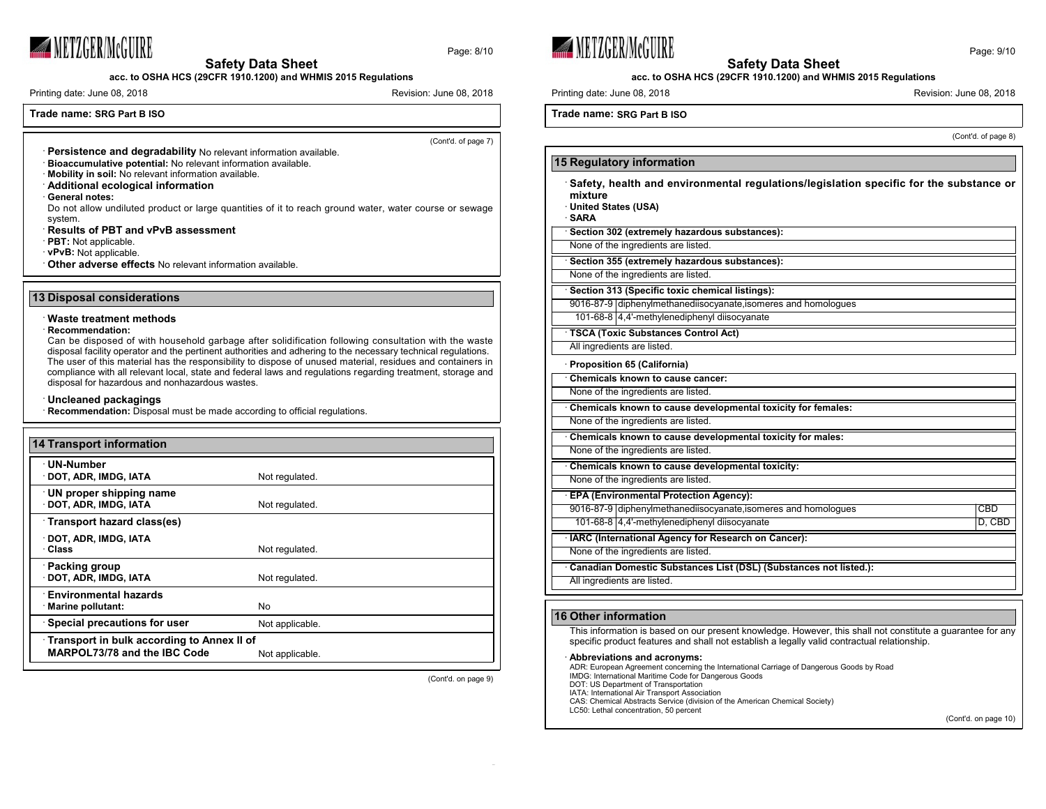

**acc. to OSHA HCS (29CFR 1910.1200) and WHMIS 2015 Regulations**

Printing date: June 08, 2018 **Revision: 1999** Revision: June 08, 2018

# **Trade name: SRG Part B ISO**

(Cont'd. of page 7)

Page: 8/10

- · **Persistence and degradability** No relevant information available.
- · **Bioaccumulative potential:** No relevant information available.
- · **Mobility in soil:** No relevant information available.
- · **Additional ecological information**
- · **General notes:**

Do not allow undiluted product or large quantities of it to reach ground water, water course or sewage system.

#### · **Results of PBT and vPvB assessment**

- · **PBT:** Not applicable.
- · **vPvB:** Not applicable.

· **Other adverse effects** No relevant information available.

#### **13 Disposal considerations**

# · **Waste treatment methods**

### · **Recommendation:**

Can be disposed of with household garbage after solidification following consultation with the waste disposal facility operator and the pertinent authorities and adhering to the necessary technical regulations. The user of this material has the responsibility to dispose of unused material, residues and containers in compliance with all relevant local, state and federal laws and regulations regarding treatment, storage and disposal for hazardous and nonhazardous wastes.

#### · **Uncleaned packagings**

· **Recommendation:** Disposal must be made according to official regulations.

| <b>14 Transport information</b>                                                   |                 |  |
|-----------------------------------------------------------------------------------|-----------------|--|
| <b>UN-Number</b><br>DOT, ADR, IMDG, IATA                                          | Not regulated.  |  |
| UN proper shipping name<br>DOT, ADR, IMDG, IATA                                   | Not regulated.  |  |
| Transport hazard class(es)                                                        |                 |  |
| DOT, ADR, IMDG, IATA<br>· Class                                                   | Not regulated.  |  |
| Packing group<br>DOT, ADR, IMDG, IATA                                             | Not regulated.  |  |
| <b>Environmental hazards</b><br>Marine pollutant:                                 | No              |  |
| <b>Special precautions for user</b>                                               | Not applicable. |  |
| Transport in bulk according to Annex II of<br><b>MARPOL73/78 and the IBC Code</b> | Not applicable. |  |

(Cont'd. on page 9)





### **acc. to OSHA HCS (29CFR 1910.1200) and WHMIS 2015 Regulations**

Printing date: June 08, 2018 **Revision: 1999** Revision: June 08, 2018

**Trade name: SRG Part B ISO**

(Cont'd. of page 8)

| 15 Regulatory information                                                                                                         |        |
|-----------------------------------------------------------------------------------------------------------------------------------|--------|
| Safety, health and environmental regulations/legislation specific for the substance or<br>mixture<br>United States (USA)<br>∙SARA |        |
| Section 302 (extremely hazardous substances):                                                                                     |        |
| None of the ingredients are listed.                                                                                               |        |
| Section 355 (extremely hazardous substances):                                                                                     |        |
| None of the ingredients are listed.                                                                                               |        |
| Section 313 (Specific toxic chemical listings):                                                                                   |        |
| 9016-87-9 diphenylmethanediisocyanate, isomeres and homologues                                                                    |        |
| 101-68-8 4.4'-methylenediphenyl diisocyanate                                                                                      |        |
| TSCA (Toxic Substances Control Act)                                                                                               |        |
| All ingredients are listed.                                                                                                       |        |
| Proposition 65 (California)                                                                                                       |        |
| Chemicals known to cause cancer:                                                                                                  |        |
| None of the ingredients are listed.                                                                                               |        |
| Chemicals known to cause developmental toxicity for females:                                                                      |        |
| None of the ingredients are listed.                                                                                               |        |
| Chemicals known to cause developmental toxicity for males:                                                                        |        |
| None of the ingredients are listed.                                                                                               |        |
| Chemicals known to cause developmental toxicity:                                                                                  |        |
| None of the ingredients are listed.                                                                                               |        |
| <b>EPA (Environmental Protection Agency):</b>                                                                                     |        |
| 9016-87-9 diphenylmethanediisocyanate, isomeres and homologues                                                                    | CBD    |
| 101-68-8 4.4'-methylenediphenyl diisocyanate                                                                                      | D, CBD |
| · IARC (International Agency for Research on Cancer):                                                                             |        |
| None of the ingredients are listed.                                                                                               |        |
| Canadian Domestic Substances List (DSL) (Substances not listed.):                                                                 |        |
| All ingredients are listed.                                                                                                       |        |
|                                                                                                                                   |        |

# **16 Other information**

This information is based on our present knowledge. However, this shall not constitute a guarantee for any specific product features and shall not establish a legally valid contractual relationship.

#### · **Abbreviations and acronyms:**

ADR: European Agreement concerning the International Carriage of Dangerous Goods by Road

- IMDG: International Maritime Code for Dangerous Goods
- DOT: US Department of Transportation
- IATA: International Air Transport Association CAS: Chemical Abstracts Service (division of the American Chemical Society)

LC50: Lethal concentration, 50 percent

(Cont'd. on page 10)